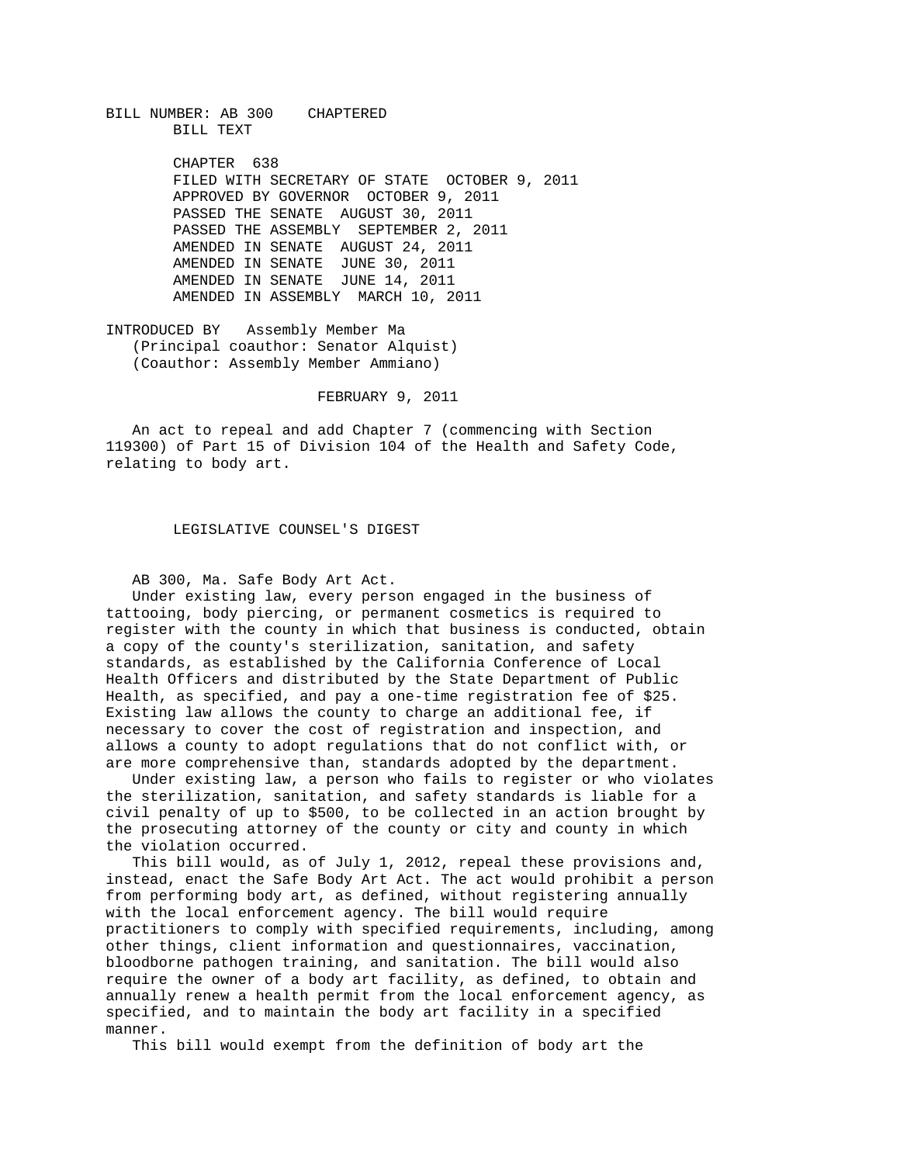BILL NUMBER: AB 300 CHAPTERED BILL TEXT

> CHAPTER 638 FILED WITH SECRETARY OF STATE OCTOBER 9, 2011 APPROVED BY GOVERNOR OCTOBER 9, 2011 PASSED THE SENATE AUGUST 30, 2011 PASSED THE ASSEMBLY SEPTEMBER 2, 2011 AMENDED IN SENATE AUGUST 24, 2011 AMENDED IN SENATE JUNE 30, 2011 AMENDED IN SENATE JUNE 14, 2011 AMENDED IN ASSEMBLY MARCH 10, 2011

INTRODUCED BY Assembly Member Ma (Principal coauthor: Senator Alquist) (Coauthor: Assembly Member Ammiano)

FEBRUARY 9, 2011

 An act to repeal and add Chapter 7 (commencing with Section 119300) of Part 15 of Division 104 of the Health and Safety Code, relating to body art.

LEGISLATIVE COUNSEL'S DIGEST

AB 300, Ma. Safe Body Art Act.

 Under existing law, every person engaged in the business of tattooing, body piercing, or permanent cosmetics is required to register with the county in which that business is conducted, obtain a copy of the county's sterilization, sanitation, and safety standards, as established by the California Conference of Local Health Officers and distributed by the State Department of Public Health, as specified, and pay a one-time registration fee of \$25. Existing law allows the county to charge an additional fee, if necessary to cover the cost of registration and inspection, and allows a county to adopt regulations that do not conflict with, or are more comprehensive than, standards adopted by the department.

 Under existing law, a person who fails to register or who violates the sterilization, sanitation, and safety standards is liable for a civil penalty of up to \$500, to be collected in an action brought by the prosecuting attorney of the county or city and county in which the violation occurred.

 This bill would, as of July 1, 2012, repeal these provisions and, instead, enact the Safe Body Art Act. The act would prohibit a person from performing body art, as defined, without registering annually with the local enforcement agency. The bill would require practitioners to comply with specified requirements, including, among other things, client information and questionnaires, vaccination, bloodborne pathogen training, and sanitation. The bill would also require the owner of a body art facility, as defined, to obtain and annually renew a health permit from the local enforcement agency, as specified, and to maintain the body art facility in a specified manner.

This bill would exempt from the definition of body art the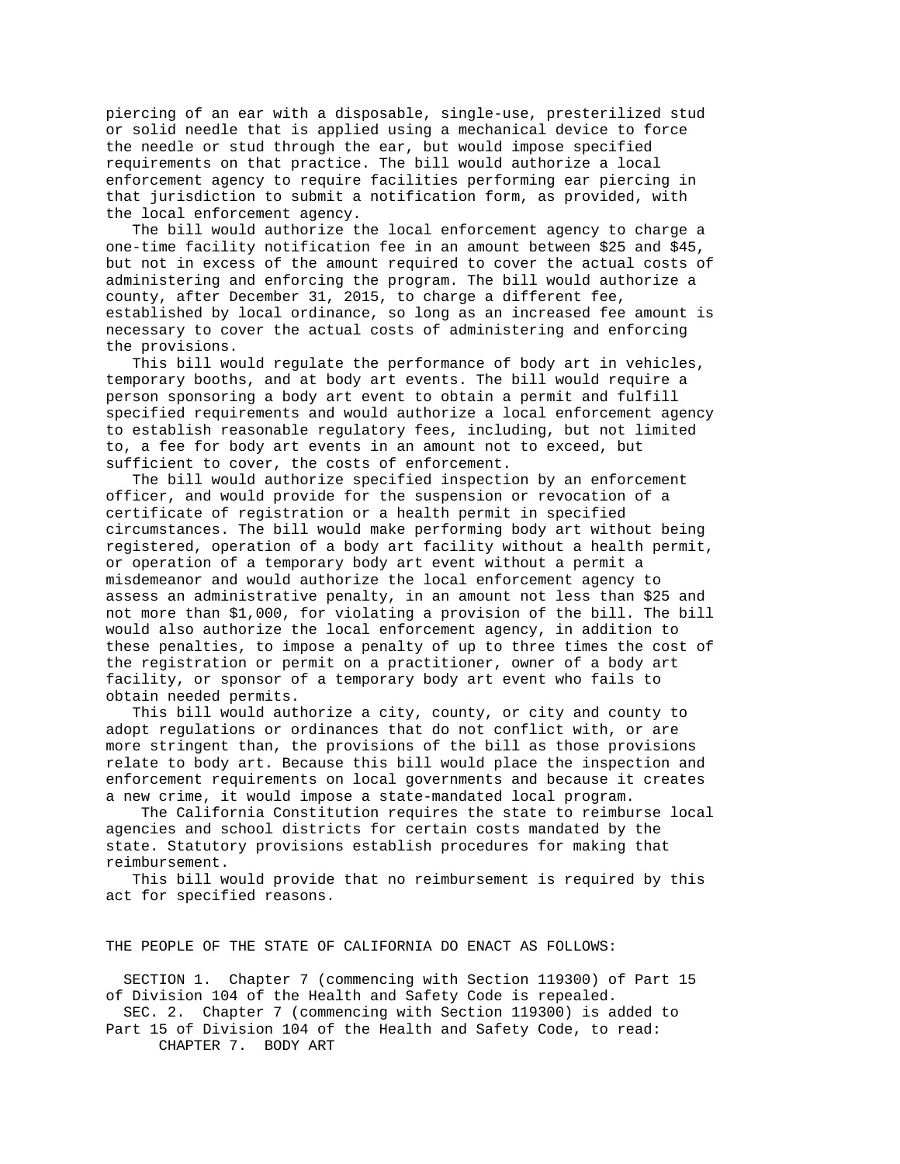piercing of an ear with a disposable, single-use, presterilized stud or solid needle that is applied using a mechanical device to force the needle or stud through the ear, but would impose specified requirements on that practice. The bill would authorize a local enforcement agency to require facilities performing ear piercing in that jurisdiction to submit a notification form, as provided, with the local enforcement agency.

 The bill would authorize the local enforcement agency to charge a one-time facility notification fee in an amount between \$25 and \$45, but not in excess of the amount required to cover the actual costs of administering and enforcing the program. The bill would authorize a county, after December 31, 2015, to charge a different fee, established by local ordinance, so long as an increased fee amount is necessary to cover the actual costs of administering and enforcing the provisions.

 This bill would regulate the performance of body art in vehicles, temporary booths, and at body art events. The bill would require a person sponsoring a body art event to obtain a permit and fulfill specified requirements and would authorize a local enforcement agency to establish reasonable regulatory fees, including, but not limited to, a fee for body art events in an amount not to exceed, but sufficient to cover, the costs of enforcement.

 The bill would authorize specified inspection by an enforcement officer, and would provide for the suspension or revocation of a certificate of registration or a health permit in specified circumstances. The bill would make performing body art without being registered, operation of a body art facility without a health permit, or operation of a temporary body art event without a permit a misdemeanor and would authorize the local enforcement agency to assess an administrative penalty, in an amount not less than \$25 and not more than \$1,000, for violating a provision of the bill. The bill would also authorize the local enforcement agency, in addition to these penalties, to impose a penalty of up to three times the cost of the registration or permit on a practitioner, owner of a body art facility, or sponsor of a temporary body art event who fails to obtain needed permits.

 This bill would authorize a city, county, or city and county to adopt regulations or ordinances that do not conflict with, or are more stringent than, the provisions of the bill as those provisions relate to body art. Because this bill would place the inspection and enforcement requirements on local governments and because it creates a new crime, it would impose a state-mandated local program.

 The California Constitution requires the state to reimburse local agencies and school districts for certain costs mandated by the state. Statutory provisions establish procedures for making that reimbursement.

 This bill would provide that no reimbursement is required by this act for specified reasons.

THE PEOPLE OF THE STATE OF CALIFORNIA DO ENACT AS FOLLOWS:

 SECTION 1. Chapter 7 (commencing with Section 119300) of Part 15 of Division 104 of the Health and Safety Code is repealed. SEC. 2. Chapter 7 (commencing with Section 119300) is added to Part 15 of Division 104 of the Health and Safety Code, to read:

CHAPTER 7. BODY ART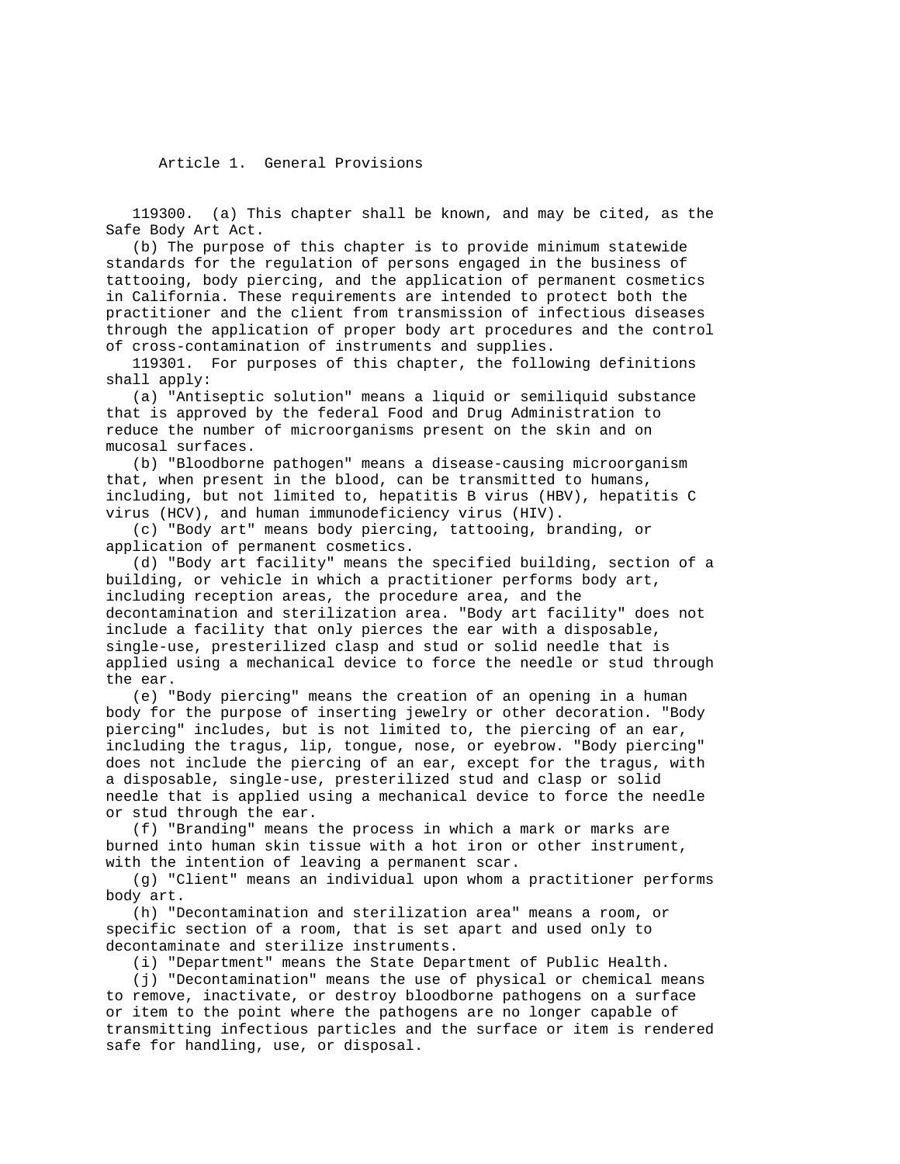Article 1. General Provisions

 119300. (a) This chapter shall be known, and may be cited, as the Safe Body Art Act.

 (b) The purpose of this chapter is to provide minimum statewide standards for the regulation of persons engaged in the business of tattooing, body piercing, and the application of permanent cosmetics in California. These requirements are intended to protect both the practitioner and the client from transmission of infectious diseases through the application of proper body art procedures and the control of cross-contamination of instruments and supplies.

 119301. For purposes of this chapter, the following definitions shall apply:

 (a) "Antiseptic solution" means a liquid or semiliquid substance that is approved by the federal Food and Drug Administration to reduce the number of microorganisms present on the skin and on mucosal surfaces.

 (b) "Bloodborne pathogen" means a disease-causing microorganism that, when present in the blood, can be transmitted to humans, including, but not limited to, hepatitis B virus (HBV), hepatitis C virus (HCV), and human immunodeficiency virus (HIV).

 (c) "Body art" means body piercing, tattooing, branding, or application of permanent cosmetics.

 (d) "Body art facility" means the specified building, section of a building, or vehicle in which a practitioner performs body art, including reception areas, the procedure area, and the decontamination and sterilization area. "Body art facility" does not include a facility that only pierces the ear with a disposable, single-use, presterilized clasp and stud or solid needle that is applied using a mechanical device to force the needle or stud through the ear.

 (e) "Body piercing" means the creation of an opening in a human body for the purpose of inserting jewelry or other decoration. "Body piercing" includes, but is not limited to, the piercing of an ear, including the tragus, lip, tongue, nose, or eyebrow. "Body piercing" does not include the piercing of an ear, except for the tragus, with a disposable, single-use, presterilized stud and clasp or solid needle that is applied using a mechanical device to force the needle or stud through the ear.

 (f) "Branding" means the process in which a mark or marks are burned into human skin tissue with a hot iron or other instrument, with the intention of leaving a permanent scar.

 (g) "Client" means an individual upon whom a practitioner performs body art.

 (h) "Decontamination and sterilization area" means a room, or specific section of a room, that is set apart and used only to decontaminate and sterilize instruments.

(i) "Department" means the State Department of Public Health.

 (j) "Decontamination" means the use of physical or chemical means to remove, inactivate, or destroy bloodborne pathogens on a surface or item to the point where the pathogens are no longer capable of transmitting infectious particles and the surface or item is rendered safe for handling, use, or disposal.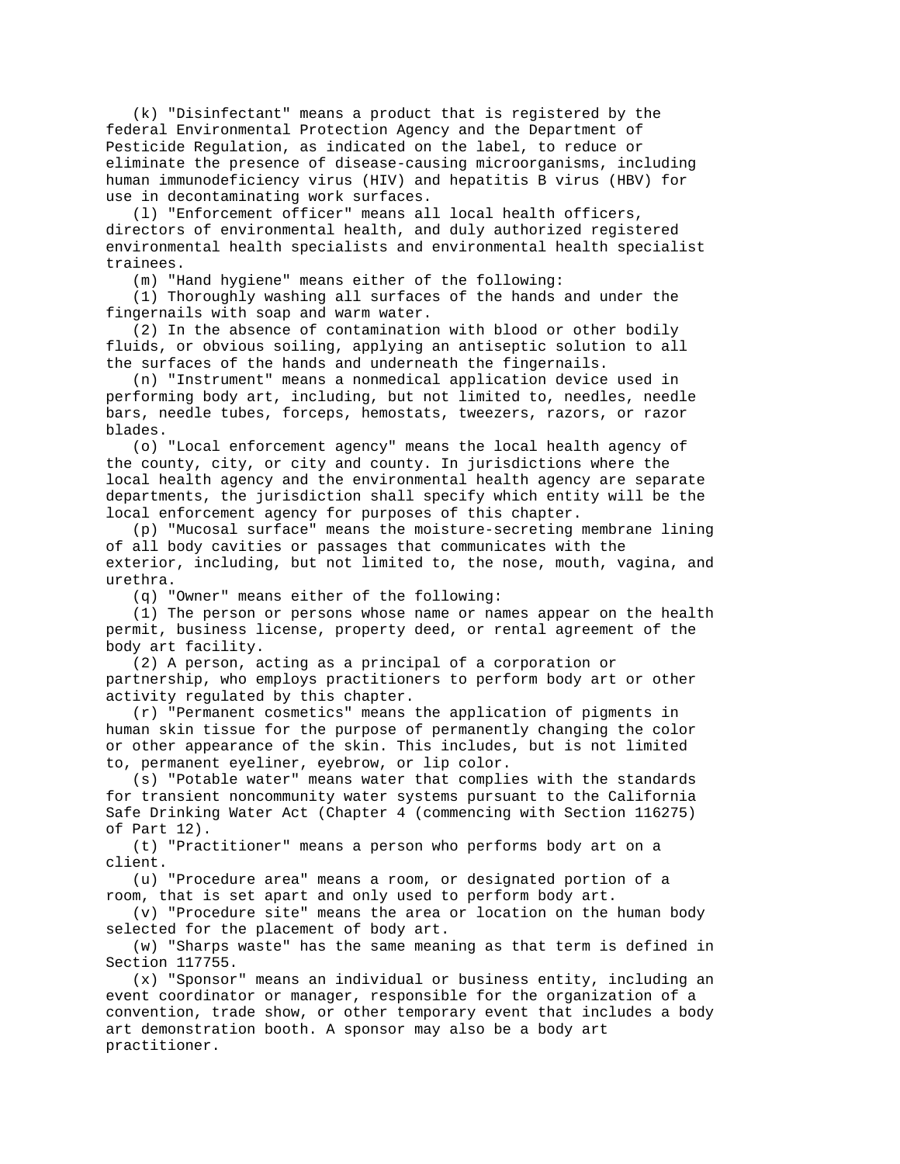(k) "Disinfectant" means a product that is registered by the federal Environmental Protection Agency and the Department of Pesticide Regulation, as indicated on the label, to reduce or eliminate the presence of disease-causing microorganisms, including human immunodeficiency virus (HIV) and hepatitis B virus (HBV) for use in decontaminating work surfaces.

 (l) "Enforcement officer" means all local health officers, directors of environmental health, and duly authorized registered environmental health specialists and environmental health specialist trainees.

(m) "Hand hygiene" means either of the following:

 (1) Thoroughly washing all surfaces of the hands and under the fingernails with soap and warm water.

 (2) In the absence of contamination with blood or other bodily fluids, or obvious soiling, applying an antiseptic solution to all the surfaces of the hands and underneath the fingernails.

 (n) "Instrument" means a nonmedical application device used in performing body art, including, but not limited to, needles, needle bars, needle tubes, forceps, hemostats, tweezers, razors, or razor blades.

 (o) "Local enforcement agency" means the local health agency of the county, city, or city and county. In jurisdictions where the local health agency and the environmental health agency are separate departments, the jurisdiction shall specify which entity will be the local enforcement agency for purposes of this chapter.

 (p) "Mucosal surface" means the moisture-secreting membrane lining of all body cavities or passages that communicates with the exterior, including, but not limited to, the nose, mouth, vagina, and urethra.

(q) "Owner" means either of the following:

 (1) The person or persons whose name or names appear on the health permit, business license, property deed, or rental agreement of the body art facility.

 (2) A person, acting as a principal of a corporation or partnership, who employs practitioners to perform body art or other activity regulated by this chapter.

 (r) "Permanent cosmetics" means the application of pigments in human skin tissue for the purpose of permanently changing the color or other appearance of the skin. This includes, but is not limited to, permanent eyeliner, eyebrow, or lip color.

 (s) "Potable water" means water that complies with the standards for transient noncommunity water systems pursuant to the California Safe Drinking Water Act (Chapter 4 (commencing with Section 116275) of Part 12).

 (t) "Practitioner" means a person who performs body art on a client.

 (u) "Procedure area" means a room, or designated portion of a room, that is set apart and only used to perform body art.

 (v) "Procedure site" means the area or location on the human body selected for the placement of body art.

 (w) "Sharps waste" has the same meaning as that term is defined in Section 117755.

 (x) "Sponsor" means an individual or business entity, including an event coordinator or manager, responsible for the organization of a convention, trade show, or other temporary event that includes a body art demonstration booth. A sponsor may also be a body art practitioner.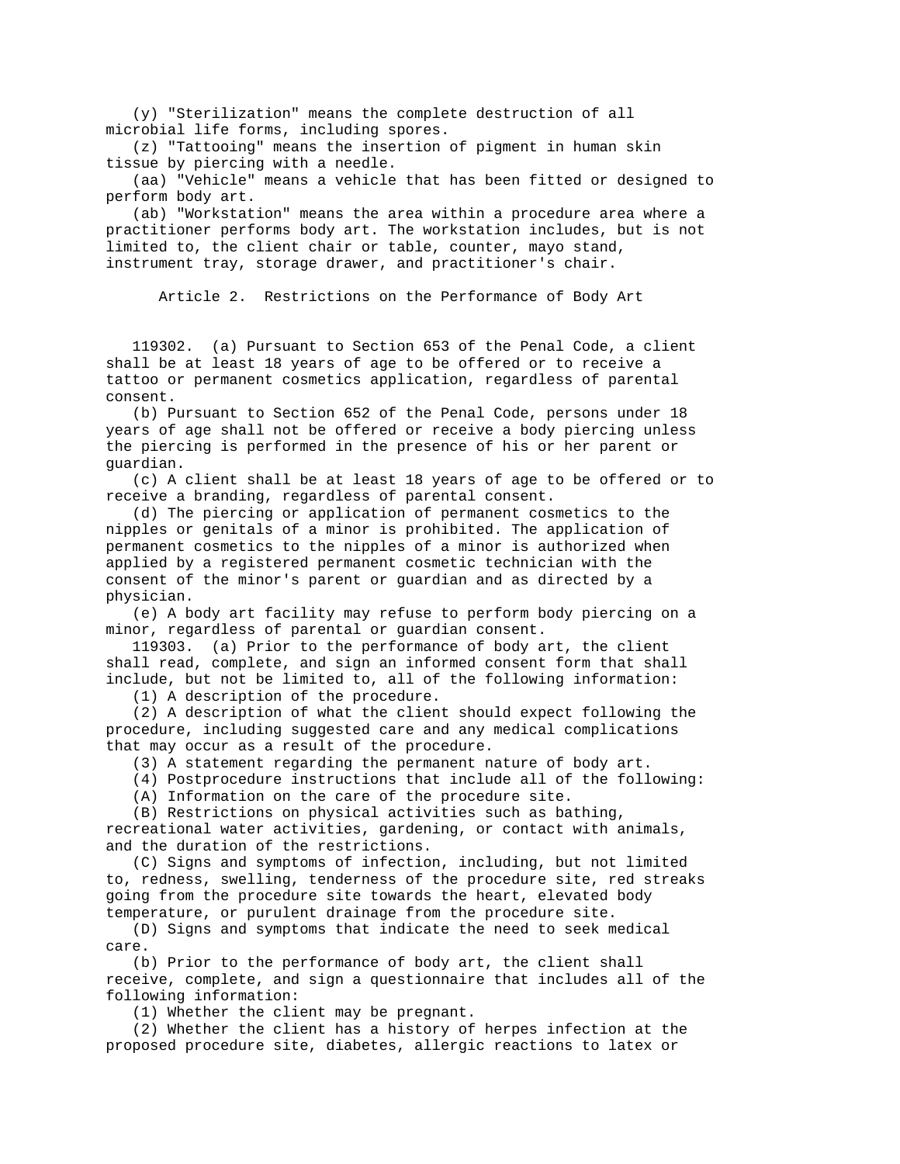(y) "Sterilization" means the complete destruction of all microbial life forms, including spores.

 (z) "Tattooing" means the insertion of pigment in human skin tissue by piercing with a needle.

 (aa) "Vehicle" means a vehicle that has been fitted or designed to perform body art.

 (ab) "Workstation" means the area within a procedure area where a practitioner performs body art. The workstation includes, but is not limited to, the client chair or table, counter, mayo stand, instrument tray, storage drawer, and practitioner's chair.

Article 2. Restrictions on the Performance of Body Art

 119302. (a) Pursuant to Section 653 of the Penal Code, a client shall be at least 18 years of age to be offered or to receive a tattoo or permanent cosmetics application, regardless of parental consent.

 (b) Pursuant to Section 652 of the Penal Code, persons under 18 years of age shall not be offered or receive a body piercing unless the piercing is performed in the presence of his or her parent or guardian.

 (c) A client shall be at least 18 years of age to be offered or to receive a branding, regardless of parental consent.

 (d) The piercing or application of permanent cosmetics to the nipples or genitals of a minor is prohibited. The application of permanent cosmetics to the nipples of a minor is authorized when applied by a registered permanent cosmetic technician with the consent of the minor's parent or guardian and as directed by a physician.

 (e) A body art facility may refuse to perform body piercing on a minor, regardless of parental or guardian consent.

 119303. (a) Prior to the performance of body art, the client shall read, complete, and sign an informed consent form that shall include, but not be limited to, all of the following information:

(1) A description of the procedure.

 (2) A description of what the client should expect following the procedure, including suggested care and any medical complications that may occur as a result of the procedure.

(3) A statement regarding the permanent nature of body art.

(4) Postprocedure instructions that include all of the following:

(A) Information on the care of the procedure site.

(B) Restrictions on physical activities such as bathing,

recreational water activities, gardening, or contact with animals, and the duration of the restrictions.

 (C) Signs and symptoms of infection, including, but not limited to, redness, swelling, tenderness of the procedure site, red streaks going from the procedure site towards the heart, elevated body temperature, or purulent drainage from the procedure site.

 (D) Signs and symptoms that indicate the need to seek medical care.

 (b) Prior to the performance of body art, the client shall receive, complete, and sign a questionnaire that includes all of the following information:

(1) Whether the client may be pregnant.

 (2) Whether the client has a history of herpes infection at the proposed procedure site, diabetes, allergic reactions to latex or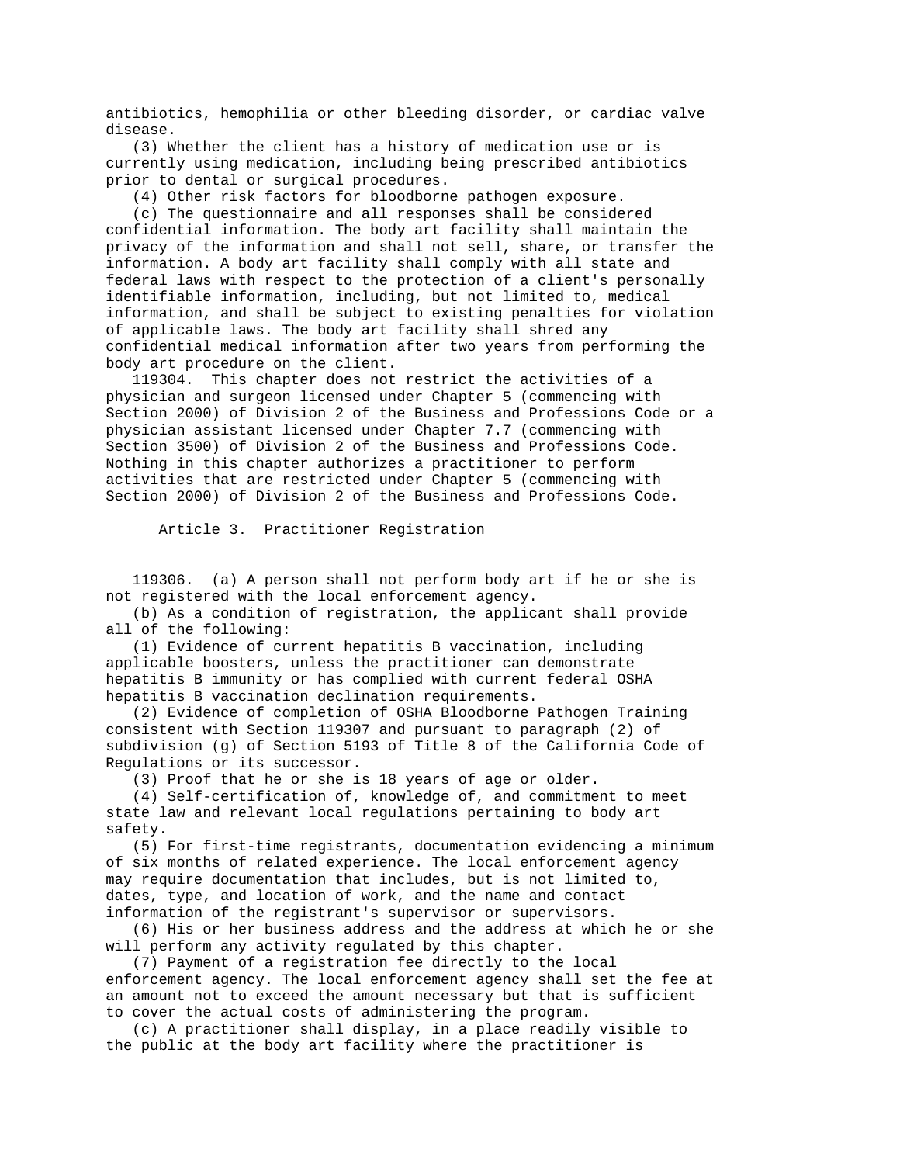antibiotics, hemophilia or other bleeding disorder, or cardiac valve disease.

 (3) Whether the client has a history of medication use or is currently using medication, including being prescribed antibiotics prior to dental or surgical procedures.

(4) Other risk factors for bloodborne pathogen exposure.

 (c) The questionnaire and all responses shall be considered confidential information. The body art facility shall maintain the privacy of the information and shall not sell, share, or transfer the information. A body art facility shall comply with all state and federal laws with respect to the protection of a client's personally identifiable information, including, but not limited to, medical information, and shall be subject to existing penalties for violation of applicable laws. The body art facility shall shred any confidential medical information after two years from performing the body art procedure on the client.

 119304. This chapter does not restrict the activities of a physician and surgeon licensed under Chapter 5 (commencing with Section 2000) of Division 2 of the Business and Professions Code or a physician assistant licensed under Chapter 7.7 (commencing with Section 3500) of Division 2 of the Business and Professions Code. Nothing in this chapter authorizes a practitioner to perform activities that are restricted under Chapter 5 (commencing with Section 2000) of Division 2 of the Business and Professions Code.

Article 3. Practitioner Registration

 119306. (a) A person shall not perform body art if he or she is not registered with the local enforcement agency.

 (b) As a condition of registration, the applicant shall provide all of the following:

 (1) Evidence of current hepatitis B vaccination, including applicable boosters, unless the practitioner can demonstrate hepatitis B immunity or has complied with current federal OSHA hepatitis B vaccination declination requirements.

 (2) Evidence of completion of OSHA Bloodborne Pathogen Training consistent with Section 119307 and pursuant to paragraph (2) of subdivision (g) of Section 5193 of Title 8 of the California Code of Regulations or its successor.

(3) Proof that he or she is 18 years of age or older.

 (4) Self-certification of, knowledge of, and commitment to meet state law and relevant local regulations pertaining to body art safety.

 (5) For first-time registrants, documentation evidencing a minimum of six months of related experience. The local enforcement agency may require documentation that includes, but is not limited to, dates, type, and location of work, and the name and contact information of the registrant's supervisor or supervisors.

 (6) His or her business address and the address at which he or she will perform any activity regulated by this chapter.

 (7) Payment of a registration fee directly to the local enforcement agency. The local enforcement agency shall set the fee at an amount not to exceed the amount necessary but that is sufficient to cover the actual costs of administering the program.

 (c) A practitioner shall display, in a place readily visible to the public at the body art facility where the practitioner is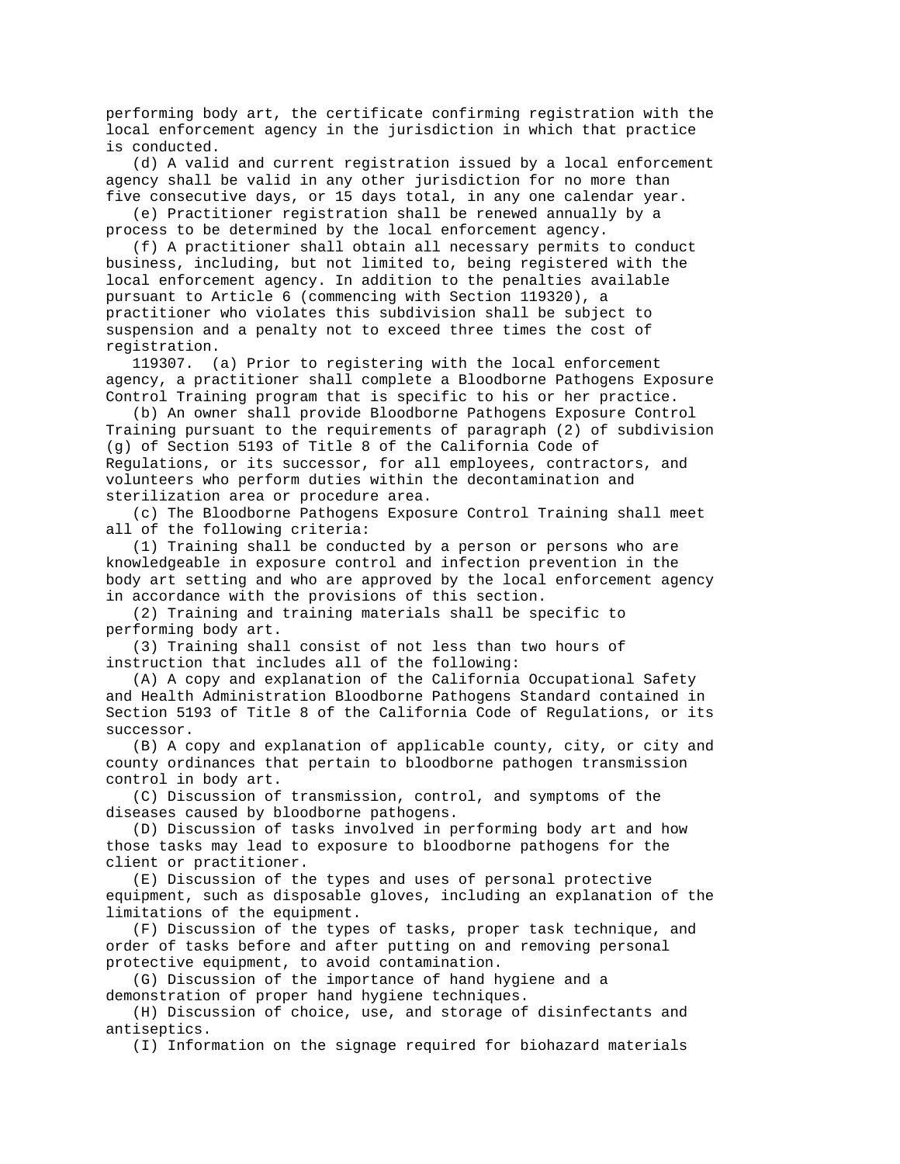performing body art, the certificate confirming registration with the local enforcement agency in the jurisdiction in which that practice is conducted.

 (d) A valid and current registration issued by a local enforcement agency shall be valid in any other jurisdiction for no more than five consecutive days, or 15 days total, in any one calendar year.

 (e) Practitioner registration shall be renewed annually by a process to be determined by the local enforcement agency.

 (f) A practitioner shall obtain all necessary permits to conduct business, including, but not limited to, being registered with the local enforcement agency. In addition to the penalties available pursuant to Article 6 (commencing with Section 119320), a practitioner who violates this subdivision shall be subject to suspension and a penalty not to exceed three times the cost of registration.

 119307. (a) Prior to registering with the local enforcement agency, a practitioner shall complete a Bloodborne Pathogens Exposure Control Training program that is specific to his or her practice.

 (b) An owner shall provide Bloodborne Pathogens Exposure Control Training pursuant to the requirements of paragraph (2) of subdivision (g) of Section 5193 of Title 8 of the California Code of Regulations, or its successor, for all employees, contractors, and volunteers who perform duties within the decontamination and sterilization area or procedure area.

 (c) The Bloodborne Pathogens Exposure Control Training shall meet all of the following criteria:

 (1) Training shall be conducted by a person or persons who are knowledgeable in exposure control and infection prevention in the body art setting and who are approved by the local enforcement agency in accordance with the provisions of this section.

 (2) Training and training materials shall be specific to performing body art.

 (3) Training shall consist of not less than two hours of instruction that includes all of the following:

 (A) A copy and explanation of the California Occupational Safety and Health Administration Bloodborne Pathogens Standard contained in Section 5193 of Title 8 of the California Code of Regulations, or its successor.

 (B) A copy and explanation of applicable county, city, or city and county ordinances that pertain to bloodborne pathogen transmission control in body art.

 (C) Discussion of transmission, control, and symptoms of the diseases caused by bloodborne pathogens.

 (D) Discussion of tasks involved in performing body art and how those tasks may lead to exposure to bloodborne pathogens for the client or practitioner.

 (E) Discussion of the types and uses of personal protective equipment, such as disposable gloves, including an explanation of the limitations of the equipment.

 (F) Discussion of the types of tasks, proper task technique, and order of tasks before and after putting on and removing personal protective equipment, to avoid contamination.

 (G) Discussion of the importance of hand hygiene and a demonstration of proper hand hygiene techniques.

 (H) Discussion of choice, use, and storage of disinfectants and antiseptics.

(I) Information on the signage required for biohazard materials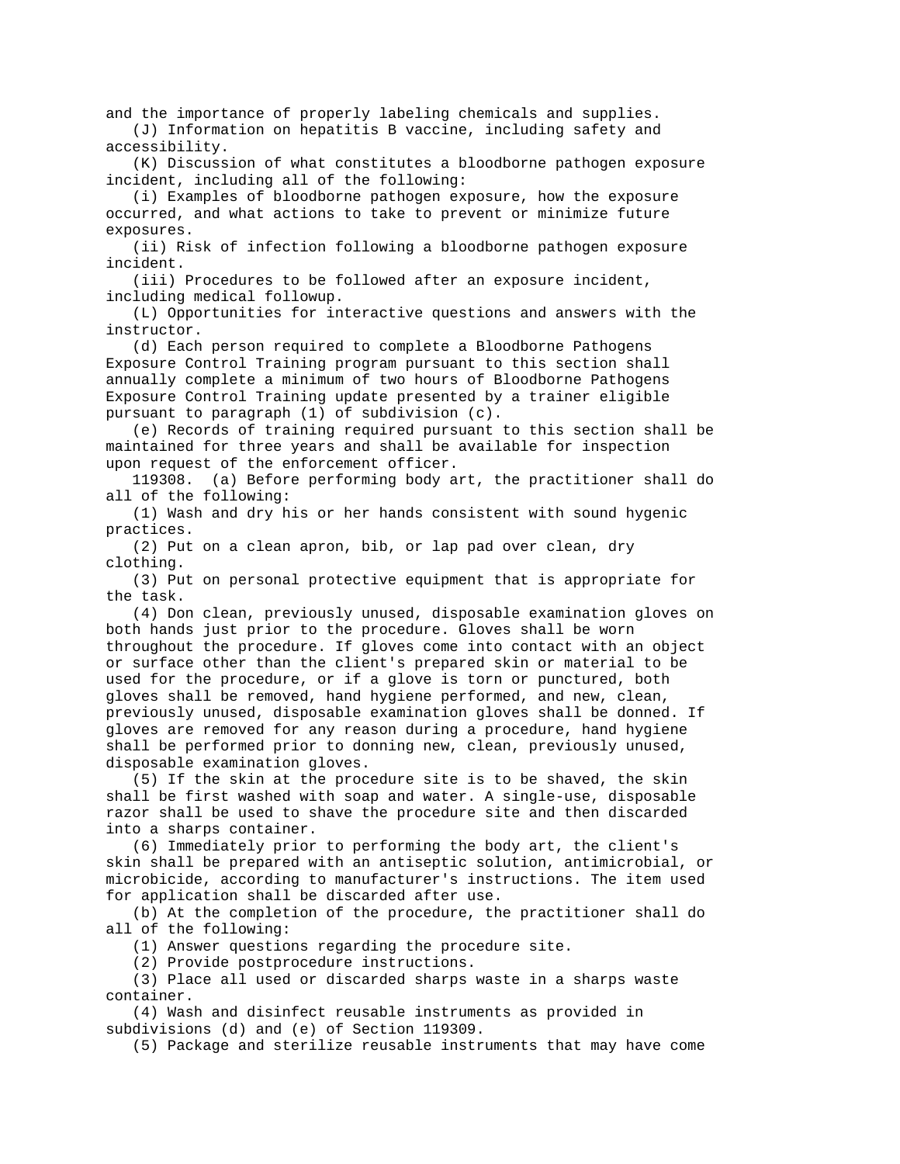and the importance of properly labeling chemicals and supplies. (J) Information on hepatitis B vaccine, including safety and

accessibility.

 (K) Discussion of what constitutes a bloodborne pathogen exposure incident, including all of the following:

 (i) Examples of bloodborne pathogen exposure, how the exposure occurred, and what actions to take to prevent or minimize future exposures.

 (ii) Risk of infection following a bloodborne pathogen exposure incident.

 (iii) Procedures to be followed after an exposure incident, including medical followup.

 (L) Opportunities for interactive questions and answers with the instructor.

 (d) Each person required to complete a Bloodborne Pathogens Exposure Control Training program pursuant to this section shall annually complete a minimum of two hours of Bloodborne Pathogens Exposure Control Training update presented by a trainer eligible pursuant to paragraph (1) of subdivision (c).

 (e) Records of training required pursuant to this section shall be maintained for three years and shall be available for inspection upon request of the enforcement officer.

 119308. (a) Before performing body art, the practitioner shall do all of the following:

 (1) Wash and dry his or her hands consistent with sound hygenic practices.

 (2) Put on a clean apron, bib, or lap pad over clean, dry clothing.

 (3) Put on personal protective equipment that is appropriate for the task.

 (4) Don clean, previously unused, disposable examination gloves on both hands just prior to the procedure. Gloves shall be worn throughout the procedure. If gloves come into contact with an object or surface other than the client's prepared skin or material to be used for the procedure, or if a glove is torn or punctured, both gloves shall be removed, hand hygiene performed, and new, clean, previously unused, disposable examination gloves shall be donned. If gloves are removed for any reason during a procedure, hand hygiene shall be performed prior to donning new, clean, previously unused, disposable examination gloves.

 (5) If the skin at the procedure site is to be shaved, the skin shall be first washed with soap and water. A single-use, disposable razor shall be used to shave the procedure site and then discarded into a sharps container.

 (6) Immediately prior to performing the body art, the client's skin shall be prepared with an antiseptic solution, antimicrobial, or microbicide, according to manufacturer's instructions. The item used for application shall be discarded after use.

 (b) At the completion of the procedure, the practitioner shall do all of the following:

(1) Answer questions regarding the procedure site.

(2) Provide postprocedure instructions.

 (3) Place all used or discarded sharps waste in a sharps waste container.

 (4) Wash and disinfect reusable instruments as provided in subdivisions (d) and (e) of Section 119309.

(5) Package and sterilize reusable instruments that may have come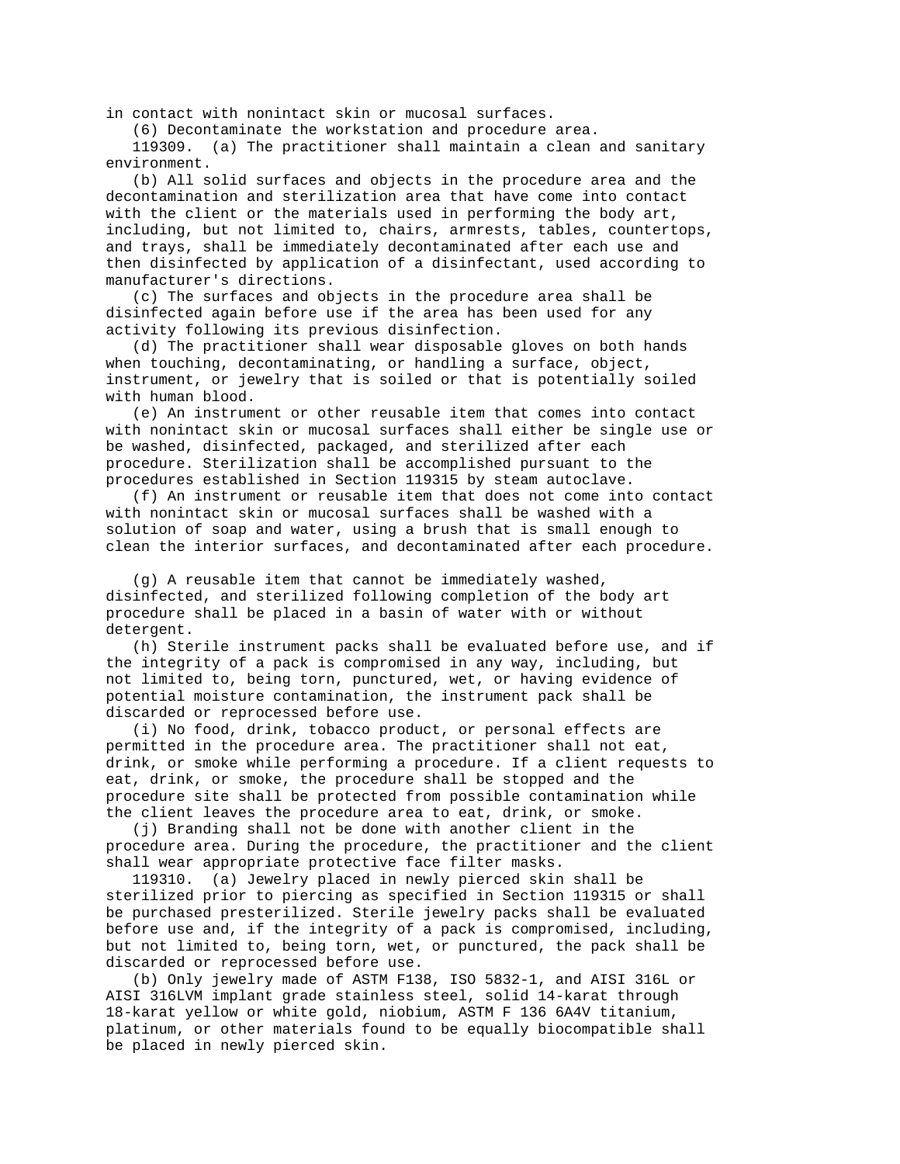in contact with nonintact skin or mucosal surfaces.

(6) Decontaminate the workstation and procedure area.

 119309. (a) The practitioner shall maintain a clean and sanitary environment.

 (b) All solid surfaces and objects in the procedure area and the decontamination and sterilization area that have come into contact with the client or the materials used in performing the body art, including, but not limited to, chairs, armrests, tables, countertops, and trays, shall be immediately decontaminated after each use and then disinfected by application of a disinfectant, used according to manufacturer's directions.

 (c) The surfaces and objects in the procedure area shall be disinfected again before use if the area has been used for any activity following its previous disinfection.

 (d) The practitioner shall wear disposable gloves on both hands when touching, decontaminating, or handling a surface, object, instrument, or jewelry that is soiled or that is potentially soiled with human blood.

 (e) An instrument or other reusable item that comes into contact with nonintact skin or mucosal surfaces shall either be single use or be washed, disinfected, packaged, and sterilized after each procedure. Sterilization shall be accomplished pursuant to the procedures established in Section 119315 by steam autoclave.

 (f) An instrument or reusable item that does not come into contact with nonintact skin or mucosal surfaces shall be washed with a solution of soap and water, using a brush that is small enough to clean the interior surfaces, and decontaminated after each procedure.

 (g) A reusable item that cannot be immediately washed, disinfected, and sterilized following completion of the body art procedure shall be placed in a basin of water with or without detergent.

 (h) Sterile instrument packs shall be evaluated before use, and if the integrity of a pack is compromised in any way, including, but not limited to, being torn, punctured, wet, or having evidence of potential moisture contamination, the instrument pack shall be discarded or reprocessed before use.

 (i) No food, drink, tobacco product, or personal effects are permitted in the procedure area. The practitioner shall not eat, drink, or smoke while performing a procedure. If a client requests to eat, drink, or smoke, the procedure shall be stopped and the procedure site shall be protected from possible contamination while the client leaves the procedure area to eat, drink, or smoke.

 (j) Branding shall not be done with another client in the procedure area. During the procedure, the practitioner and the client shall wear appropriate protective face filter masks.

 119310. (a) Jewelry placed in newly pierced skin shall be sterilized prior to piercing as specified in Section 119315 or shall be purchased presterilized. Sterile jewelry packs shall be evaluated before use and, if the integrity of a pack is compromised, including, but not limited to, being torn, wet, or punctured, the pack shall be discarded or reprocessed before use.

 (b) Only jewelry made of ASTM F138, ISO 5832-1, and AISI 316L or AISI 316LVM implant grade stainless steel, solid 14-karat through 18-karat yellow or white gold, niobium, ASTM F 136 6A4V titanium, platinum, or other materials found to be equally biocompatible shall be placed in newly pierced skin.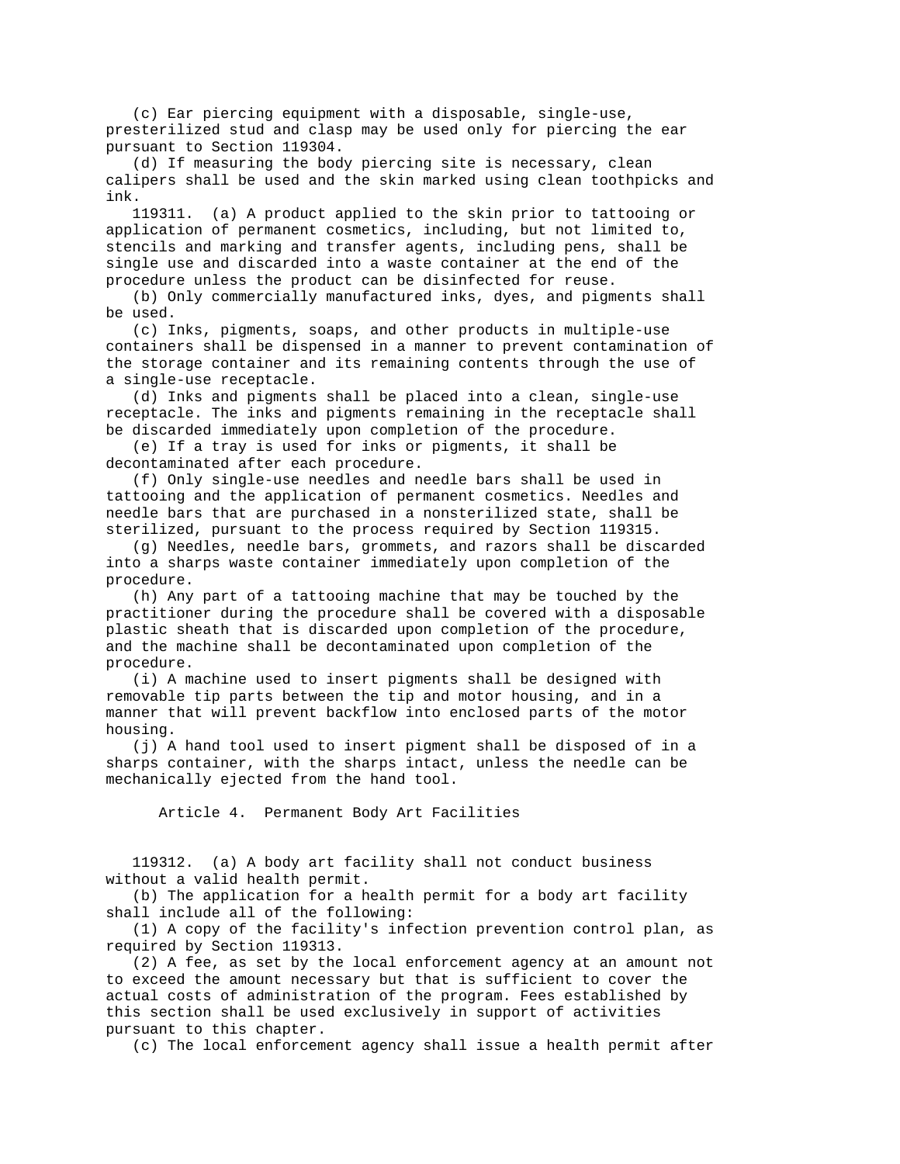(c) Ear piercing equipment with a disposable, single-use, presterilized stud and clasp may be used only for piercing the ear pursuant to Section 119304.

 (d) If measuring the body piercing site is necessary, clean calipers shall be used and the skin marked using clean toothpicks and ink.

 119311. (a) A product applied to the skin prior to tattooing or application of permanent cosmetics, including, but not limited to, stencils and marking and transfer agents, including pens, shall be single use and discarded into a waste container at the end of the procedure unless the product can be disinfected for reuse.

 (b) Only commercially manufactured inks, dyes, and pigments shall be used.

 (c) Inks, pigments, soaps, and other products in multiple-use containers shall be dispensed in a manner to prevent contamination of the storage container and its remaining contents through the use of a single-use receptacle.

 (d) Inks and pigments shall be placed into a clean, single-use receptacle. The inks and pigments remaining in the receptacle shall be discarded immediately upon completion of the procedure.

 (e) If a tray is used for inks or pigments, it shall be decontaminated after each procedure.

 (f) Only single-use needles and needle bars shall be used in tattooing and the application of permanent cosmetics. Needles and needle bars that are purchased in a nonsterilized state, shall be sterilized, pursuant to the process required by Section 119315.

 (g) Needles, needle bars, grommets, and razors shall be discarded into a sharps waste container immediately upon completion of the procedure.

 (h) Any part of a tattooing machine that may be touched by the practitioner during the procedure shall be covered with a disposable plastic sheath that is discarded upon completion of the procedure, and the machine shall be decontaminated upon completion of the procedure.

 (i) A machine used to insert pigments shall be designed with removable tip parts between the tip and motor housing, and in a manner that will prevent backflow into enclosed parts of the motor housing.

 (j) A hand tool used to insert pigment shall be disposed of in a sharps container, with the sharps intact, unless the needle can be mechanically ejected from the hand tool.

Article 4. Permanent Body Art Facilities

 119312. (a) A body art facility shall not conduct business without a valid health permit.

 (b) The application for a health permit for a body art facility shall include all of the following:

 (1) A copy of the facility's infection prevention control plan, as required by Section 119313.

 (2) A fee, as set by the local enforcement agency at an amount not to exceed the amount necessary but that is sufficient to cover the actual costs of administration of the program. Fees established by this section shall be used exclusively in support of activities pursuant to this chapter.

(c) The local enforcement agency shall issue a health permit after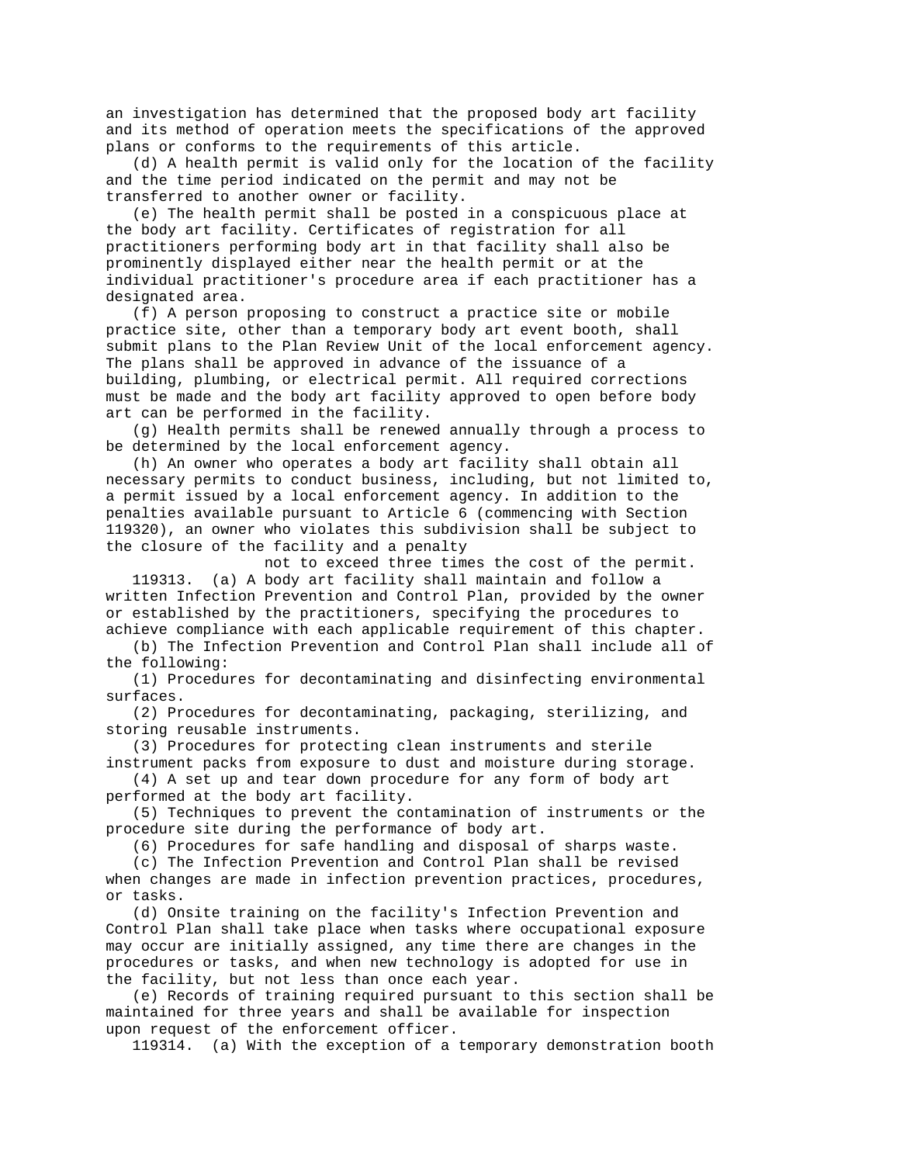an investigation has determined that the proposed body art facility and its method of operation meets the specifications of the approved plans or conforms to the requirements of this article.

 (d) A health permit is valid only for the location of the facility and the time period indicated on the permit and may not be transferred to another owner or facility.

 (e) The health permit shall be posted in a conspicuous place at the body art facility. Certificates of registration for all practitioners performing body art in that facility shall also be prominently displayed either near the health permit or at the individual practitioner's procedure area if each practitioner has a designated area.

 (f) A person proposing to construct a practice site or mobile practice site, other than a temporary body art event booth, shall submit plans to the Plan Review Unit of the local enforcement agency. The plans shall be approved in advance of the issuance of a building, plumbing, or electrical permit. All required corrections must be made and the body art facility approved to open before body art can be performed in the facility.

 (g) Health permits shall be renewed annually through a process to be determined by the local enforcement agency.

 (h) An owner who operates a body art facility shall obtain all necessary permits to conduct business, including, but not limited to, a permit issued by a local enforcement agency. In addition to the penalties available pursuant to Article 6 (commencing with Section 119320), an owner who violates this subdivision shall be subject to the closure of the facility and a penalty

 not to exceed three times the cost of the permit. 119313. (a) A body art facility shall maintain and follow a written Infection Prevention and Control Plan, provided by the owner or established by the practitioners, specifying the procedures to achieve compliance with each applicable requirement of this chapter.

 (b) The Infection Prevention and Control Plan shall include all of the following:

 (1) Procedures for decontaminating and disinfecting environmental surfaces.

 (2) Procedures for decontaminating, packaging, sterilizing, and storing reusable instruments.

 (3) Procedures for protecting clean instruments and sterile instrument packs from exposure to dust and moisture during storage.

 (4) A set up and tear down procedure for any form of body art performed at the body art facility.

 (5) Techniques to prevent the contamination of instruments or the procedure site during the performance of body art.

(6) Procedures for safe handling and disposal of sharps waste.

 (c) The Infection Prevention and Control Plan shall be revised when changes are made in infection prevention practices, procedures, or tasks.

 (d) Onsite training on the facility's Infection Prevention and Control Plan shall take place when tasks where occupational exposure may occur are initially assigned, any time there are changes in the procedures or tasks, and when new technology is adopted for use in the facility, but not less than once each year.

 (e) Records of training required pursuant to this section shall be maintained for three years and shall be available for inspection upon request of the enforcement officer.

119314. (a) With the exception of a temporary demonstration booth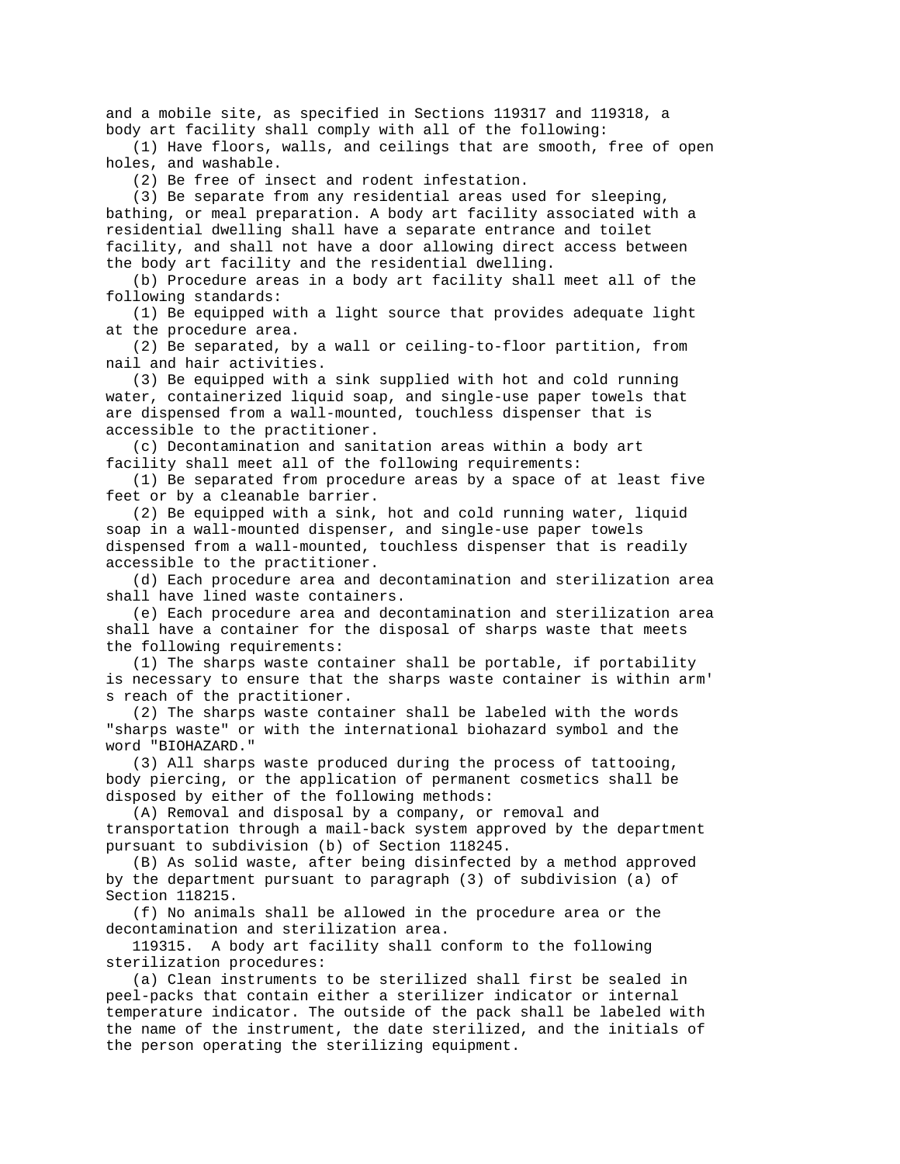and a mobile site, as specified in Sections 119317 and 119318, a body art facility shall comply with all of the following:

 (1) Have floors, walls, and ceilings that are smooth, free of open holes, and washable.

(2) Be free of insect and rodent infestation.

 (3) Be separate from any residential areas used for sleeping, bathing, or meal preparation. A body art facility associated with a residential dwelling shall have a separate entrance and toilet facility, and shall not have a door allowing direct access between the body art facility and the residential dwelling.

 (b) Procedure areas in a body art facility shall meet all of the following standards:

 (1) Be equipped with a light source that provides adequate light at the procedure area.

 (2) Be separated, by a wall or ceiling-to-floor partition, from nail and hair activities.

 (3) Be equipped with a sink supplied with hot and cold running water, containerized liquid soap, and single-use paper towels that are dispensed from a wall-mounted, touchless dispenser that is accessible to the practitioner.

 (c) Decontamination and sanitation areas within a body art facility shall meet all of the following requirements:

 (1) Be separated from procedure areas by a space of at least five feet or by a cleanable barrier.

 (2) Be equipped with a sink, hot and cold running water, liquid soap in a wall-mounted dispenser, and single-use paper towels dispensed from a wall-mounted, touchless dispenser that is readily accessible to the practitioner.

 (d) Each procedure area and decontamination and sterilization area shall have lined waste containers.

 (e) Each procedure area and decontamination and sterilization area shall have a container for the disposal of sharps waste that meets the following requirements:

 (1) The sharps waste container shall be portable, if portability is necessary to ensure that the sharps waste container is within arm' s reach of the practitioner.

 (2) The sharps waste container shall be labeled with the words "sharps waste" or with the international biohazard symbol and the word "BIOHAZARD."

 (3) All sharps waste produced during the process of tattooing, body piercing, or the application of permanent cosmetics shall be disposed by either of the following methods:

 (A) Removal and disposal by a company, or removal and transportation through a mail-back system approved by the department pursuant to subdivision (b) of Section 118245.

 (B) As solid waste, after being disinfected by a method approved by the department pursuant to paragraph (3) of subdivision (a) of Section 118215.

 (f) No animals shall be allowed in the procedure area or the decontamination and sterilization area.

 119315. A body art facility shall conform to the following sterilization procedures:

 (a) Clean instruments to be sterilized shall first be sealed in peel-packs that contain either a sterilizer indicator or internal temperature indicator. The outside of the pack shall be labeled with the name of the instrument, the date sterilized, and the initials of the person operating the sterilizing equipment.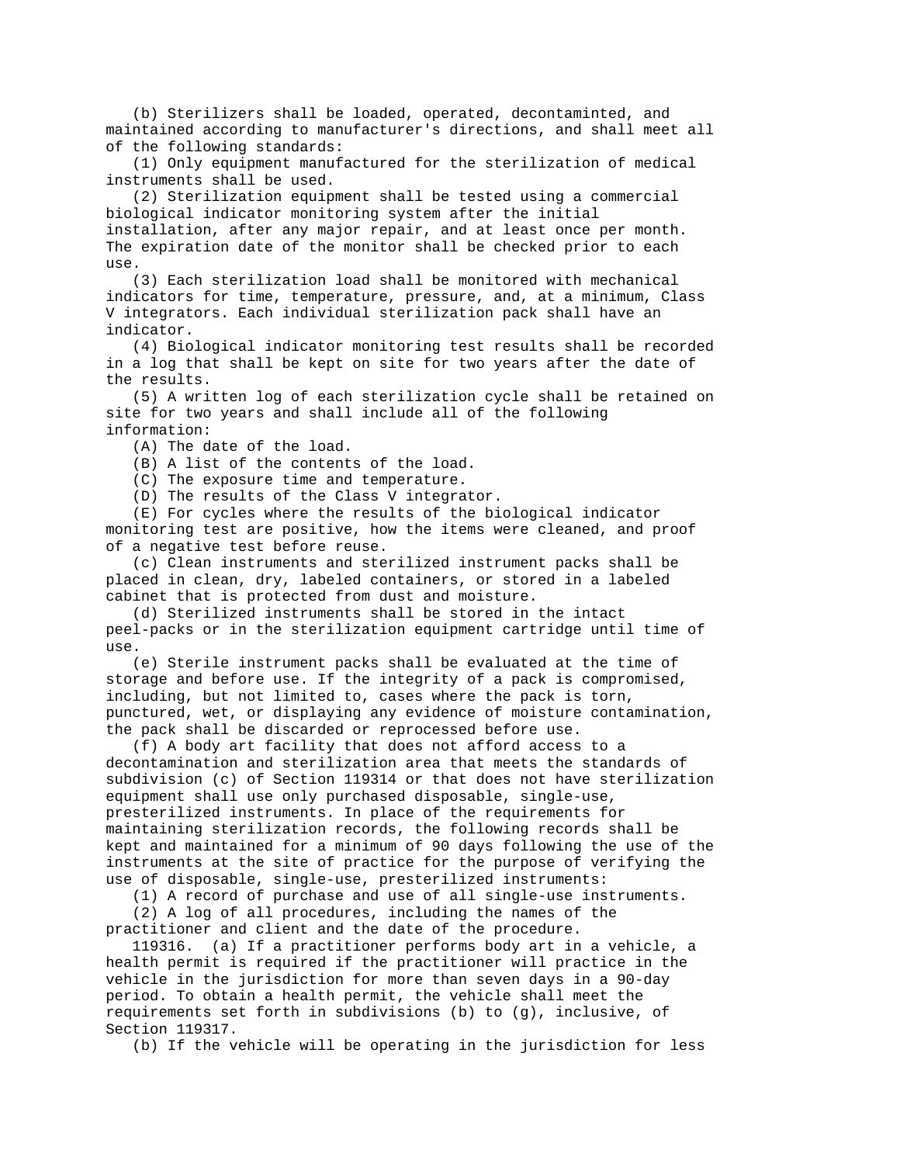(b) Sterilizers shall be loaded, operated, decontaminted, and maintained according to manufacturer's directions, and shall meet all of the following standards:

 (1) Only equipment manufactured for the sterilization of medical instruments shall be used.

 (2) Sterilization equipment shall be tested using a commercial biological indicator monitoring system after the initial installation, after any major repair, and at least once per month. The expiration date of the monitor shall be checked prior to each use.

 (3) Each sterilization load shall be monitored with mechanical indicators for time, temperature, pressure, and, at a minimum, Class V integrators. Each individual sterilization pack shall have an indicator.

 (4) Biological indicator monitoring test results shall be recorded in a log that shall be kept on site for two years after the date of the results.

 (5) A written log of each sterilization cycle shall be retained on site for two years and shall include all of the following information:

(A) The date of the load.

(B) A list of the contents of the load.

(C) The exposure time and temperature.

(D) The results of the Class V integrator.

 (E) For cycles where the results of the biological indicator monitoring test are positive, how the items were cleaned, and proof of a negative test before reuse.

 (c) Clean instruments and sterilized instrument packs shall be placed in clean, dry, labeled containers, or stored in a labeled cabinet that is protected from dust and moisture.

 (d) Sterilized instruments shall be stored in the intact peel-packs or in the sterilization equipment cartridge until time of use.

 (e) Sterile instrument packs shall be evaluated at the time of storage and before use. If the integrity of a pack is compromised, including, but not limited to, cases where the pack is torn, punctured, wet, or displaying any evidence of moisture contamination, the pack shall be discarded or reprocessed before use.

 (f) A body art facility that does not afford access to a decontamination and sterilization area that meets the standards of subdivision (c) of Section 119314 or that does not have sterilization equipment shall use only purchased disposable, single-use, presterilized instruments. In place of the requirements for maintaining sterilization records, the following records shall be kept and maintained for a minimum of 90 days following the use of the instruments at the site of practice for the purpose of verifying the use of disposable, single-use, presterilized instruments:

(1) A record of purchase and use of all single-use instruments.

 (2) A log of all procedures, including the names of the practitioner and client and the date of the procedure.

 119316. (a) If a practitioner performs body art in a vehicle, a health permit is required if the practitioner will practice in the vehicle in the jurisdiction for more than seven days in a 90-day period. To obtain a health permit, the vehicle shall meet the requirements set forth in subdivisions (b) to (g), inclusive, of Section 119317.

(b) If the vehicle will be operating in the jurisdiction for less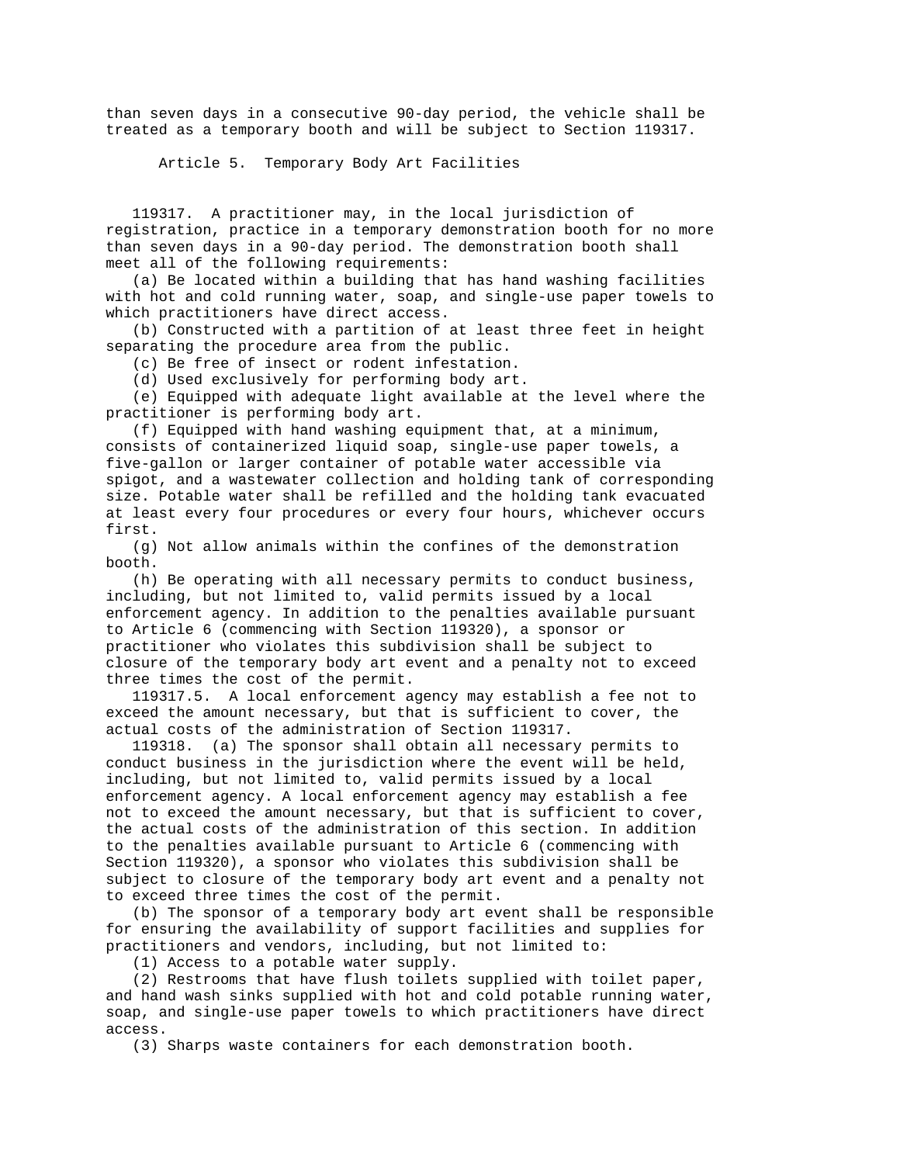than seven days in a consecutive 90-day period, the vehicle shall be treated as a temporary booth and will be subject to Section 119317.

Article 5. Temporary Body Art Facilities

 119317. A practitioner may, in the local jurisdiction of registration, practice in a temporary demonstration booth for no more than seven days in a 90-day period. The demonstration booth shall meet all of the following requirements:

 (a) Be located within a building that has hand washing facilities with hot and cold running water, soap, and single-use paper towels to which practitioners have direct access.

 (b) Constructed with a partition of at least three feet in height separating the procedure area from the public.

(c) Be free of insect or rodent infestation.

(d) Used exclusively for performing body art.

 (e) Equipped with adequate light available at the level where the practitioner is performing body art.

 (f) Equipped with hand washing equipment that, at a minimum, consists of containerized liquid soap, single-use paper towels, a five-gallon or larger container of potable water accessible via spigot, and a wastewater collection and holding tank of corresponding size. Potable water shall be refilled and the holding tank evacuated at least every four procedures or every four hours, whichever occurs first.

 (g) Not allow animals within the confines of the demonstration booth.

 (h) Be operating with all necessary permits to conduct business, including, but not limited to, valid permits issued by a local enforcement agency. In addition to the penalties available pursuant to Article 6 (commencing with Section 119320), a sponsor or practitioner who violates this subdivision shall be subject to closure of the temporary body art event and a penalty not to exceed three times the cost of the permit.

 119317.5. A local enforcement agency may establish a fee not to exceed the amount necessary, but that is sufficient to cover, the actual costs of the administration of Section 119317.

 119318. (a) The sponsor shall obtain all necessary permits to conduct business in the jurisdiction where the event will be held, including, but not limited to, valid permits issued by a local enforcement agency. A local enforcement agency may establish a fee not to exceed the amount necessary, but that is sufficient to cover, the actual costs of the administration of this section. In addition to the penalties available pursuant to Article 6 (commencing with Section 119320), a sponsor who violates this subdivision shall be subject to closure of the temporary body art event and a penalty not to exceed three times the cost of the permit.

 (b) The sponsor of a temporary body art event shall be responsible for ensuring the availability of support facilities and supplies for practitioners and vendors, including, but not limited to:

(1) Access to a potable water supply.

 (2) Restrooms that have flush toilets supplied with toilet paper, and hand wash sinks supplied with hot and cold potable running water, soap, and single-use paper towels to which practitioners have direct access.

(3) Sharps waste containers for each demonstration booth.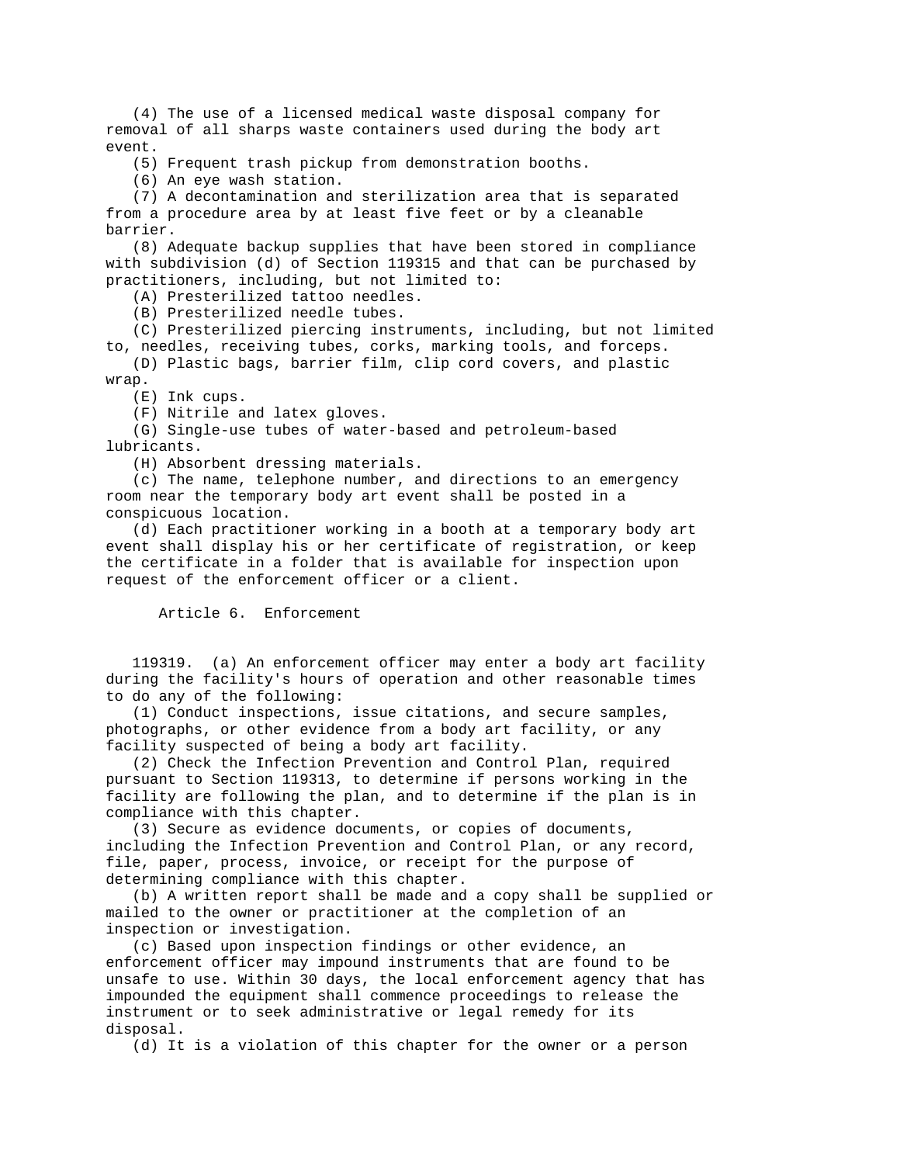(4) The use of a licensed medical waste disposal company for removal of all sharps waste containers used during the body art event.

(5) Frequent trash pickup from demonstration booths.

(6) An eye wash station.

 (7) A decontamination and sterilization area that is separated from a procedure area by at least five feet or by a cleanable barrier.

 (8) Adequate backup supplies that have been stored in compliance with subdivision (d) of Section 119315 and that can be purchased by practitioners, including, but not limited to:

(A) Presterilized tattoo needles.

(B) Presterilized needle tubes.

 (C) Presterilized piercing instruments, including, but not limited to, needles, receiving tubes, corks, marking tools, and forceps.

 (D) Plastic bags, barrier film, clip cord covers, and plastic wrap.

(E) Ink cups.

(F) Nitrile and latex gloves.

 (G) Single-use tubes of water-based and petroleum-based lubricants.

(H) Absorbent dressing materials.

 (c) The name, telephone number, and directions to an emergency room near the temporary body art event shall be posted in a conspicuous location.

 (d) Each practitioner working in a booth at a temporary body art event shall display his or her certificate of registration, or keep the certificate in a folder that is available for inspection upon request of the enforcement officer or a client.

Article 6. Enforcement

 119319. (a) An enforcement officer may enter a body art facility during the facility's hours of operation and other reasonable times to do any of the following:

 (1) Conduct inspections, issue citations, and secure samples, photographs, or other evidence from a body art facility, or any facility suspected of being a body art facility.

 (2) Check the Infection Prevention and Control Plan, required pursuant to Section 119313, to determine if persons working in the facility are following the plan, and to determine if the plan is in compliance with this chapter.

 (3) Secure as evidence documents, or copies of documents, including the Infection Prevention and Control Plan, or any record, file, paper, process, invoice, or receipt for the purpose of determining compliance with this chapter.

 (b) A written report shall be made and a copy shall be supplied or mailed to the owner or practitioner at the completion of an inspection or investigation.

 (c) Based upon inspection findings or other evidence, an enforcement officer may impound instruments that are found to be unsafe to use. Within 30 days, the local enforcement agency that has impounded the equipment shall commence proceedings to release the instrument or to seek administrative or legal remedy for its disposal.

(d) It is a violation of this chapter for the owner or a person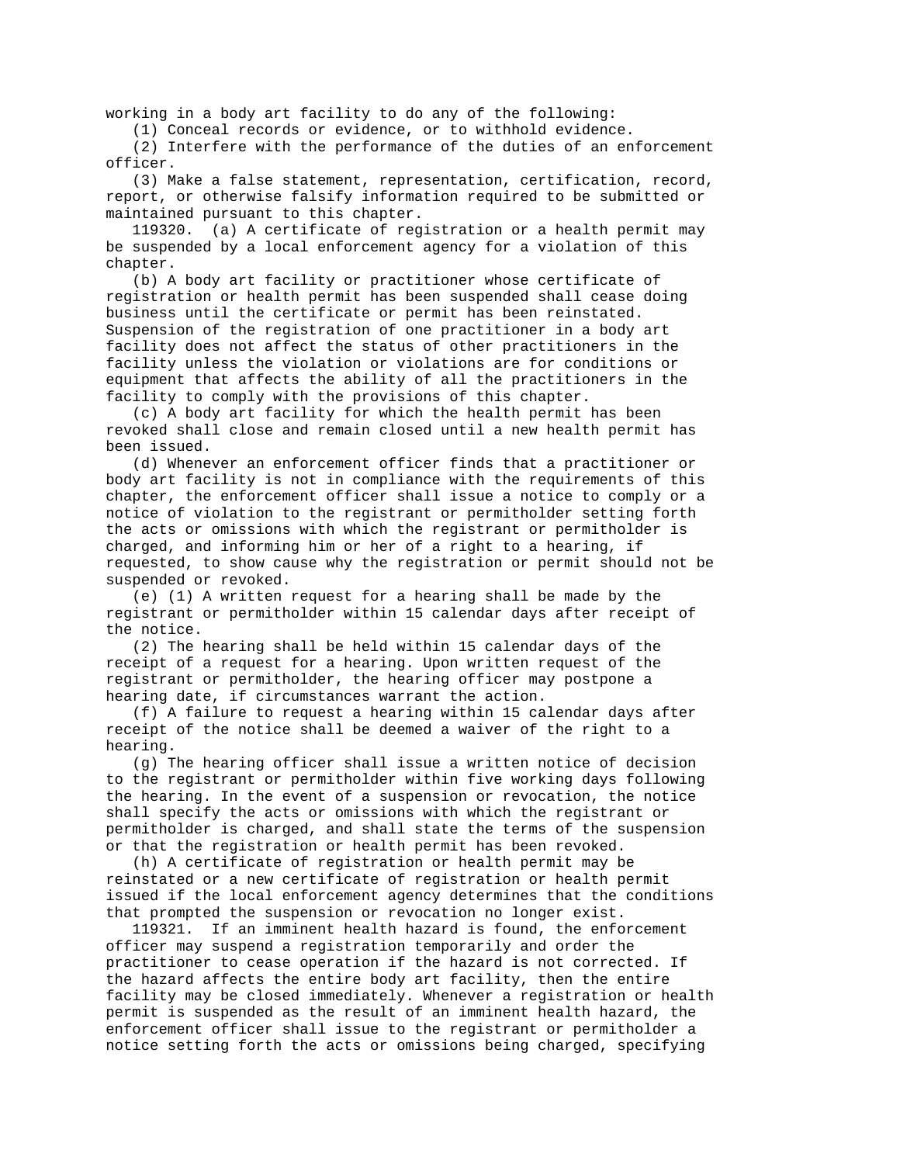working in a body art facility to do any of the following:

(1) Conceal records or evidence, or to withhold evidence.

 (2) Interfere with the performance of the duties of an enforcement officer.

 (3) Make a false statement, representation, certification, record, report, or otherwise falsify information required to be submitted or maintained pursuant to this chapter.

 119320. (a) A certificate of registration or a health permit may be suspended by a local enforcement agency for a violation of this chapter.

 (b) A body art facility or practitioner whose certificate of registration or health permit has been suspended shall cease doing business until the certificate or permit has been reinstated. Suspension of the registration of one practitioner in a body art facility does not affect the status of other practitioners in the facility unless the violation or violations are for conditions or equipment that affects the ability of all the practitioners in the facility to comply with the provisions of this chapter.

 (c) A body art facility for which the health permit has been revoked shall close and remain closed until a new health permit has been issued.

 (d) Whenever an enforcement officer finds that a practitioner or body art facility is not in compliance with the requirements of this chapter, the enforcement officer shall issue a notice to comply or a notice of violation to the registrant or permitholder setting forth the acts or omissions with which the registrant or permitholder is charged, and informing him or her of a right to a hearing, if requested, to show cause why the registration or permit should not be suspended or revoked.

 (e) (1) A written request for a hearing shall be made by the registrant or permitholder within 15 calendar days after receipt of the notice.

 (2) The hearing shall be held within 15 calendar days of the receipt of a request for a hearing. Upon written request of the registrant or permitholder, the hearing officer may postpone a hearing date, if circumstances warrant the action.

 (f) A failure to request a hearing within 15 calendar days after receipt of the notice shall be deemed a waiver of the right to a hearing.

 (g) The hearing officer shall issue a written notice of decision to the registrant or permitholder within five working days following the hearing. In the event of a suspension or revocation, the notice shall specify the acts or omissions with which the registrant or permitholder is charged, and shall state the terms of the suspension or that the registration or health permit has been revoked.

 (h) A certificate of registration or health permit may be reinstated or a new certificate of registration or health permit issued if the local enforcement agency determines that the conditions that prompted the suspension or revocation no longer exist.

 119321. If an imminent health hazard is found, the enforcement officer may suspend a registration temporarily and order the practitioner to cease operation if the hazard is not corrected. If the hazard affects the entire body art facility, then the entire facility may be closed immediately. Whenever a registration or health permit is suspended as the result of an imminent health hazard, the enforcement officer shall issue to the registrant or permitholder a notice setting forth the acts or omissions being charged, specifying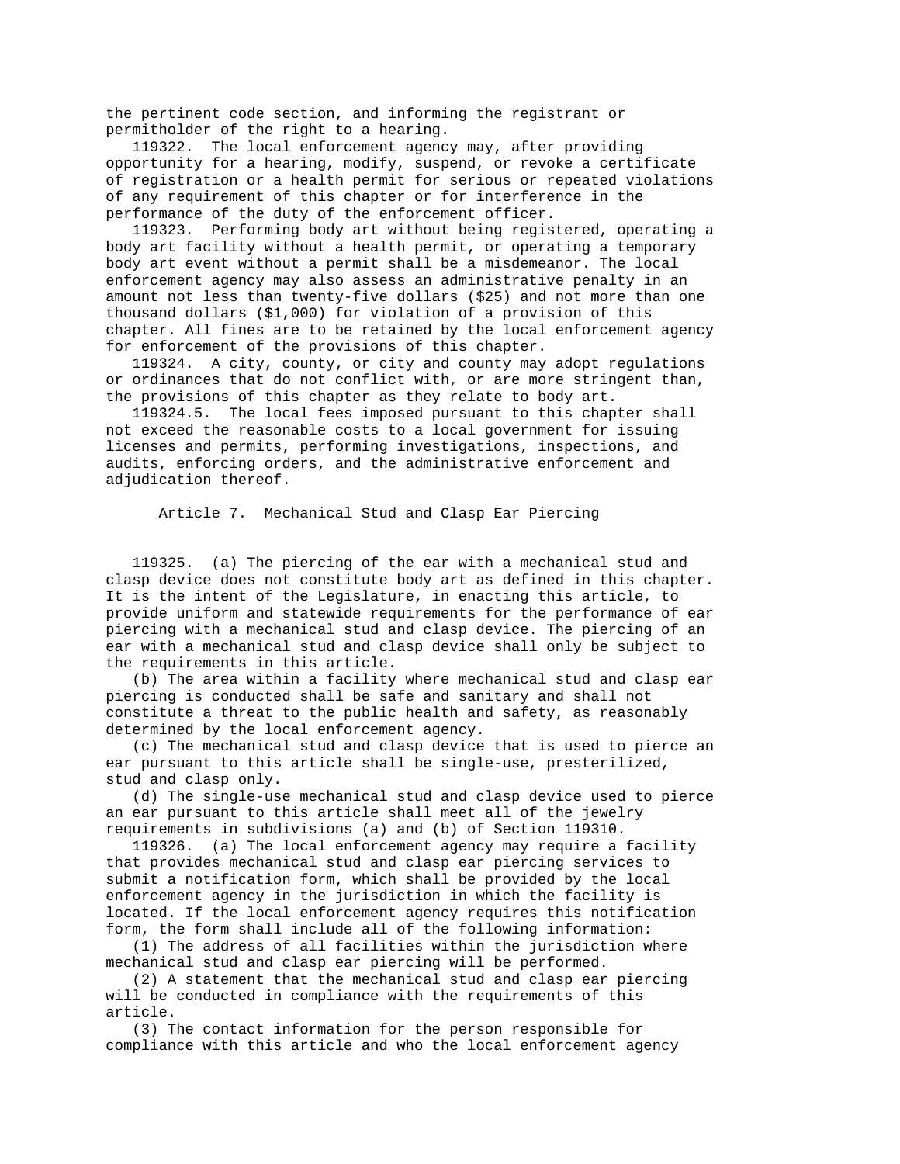the pertinent code section, and informing the registrant or permitholder of the right to a hearing.

 119322. The local enforcement agency may, after providing opportunity for a hearing, modify, suspend, or revoke a certificate of registration or a health permit for serious or repeated violations of any requirement of this chapter or for interference in the performance of the duty of the enforcement officer.

 119323. Performing body art without being registered, operating a body art facility without a health permit, or operating a temporary body art event without a permit shall be a misdemeanor. The local enforcement agency may also assess an administrative penalty in an amount not less than twenty-five dollars (\$25) and not more than one thousand dollars (\$1,000) for violation of a provision of this chapter. All fines are to be retained by the local enforcement agency for enforcement of the provisions of this chapter.

 119324. A city, county, or city and county may adopt regulations or ordinances that do not conflict with, or are more stringent than, the provisions of this chapter as they relate to body art.

 119324.5. The local fees imposed pursuant to this chapter shall not exceed the reasonable costs to a local government for issuing licenses and permits, performing investigations, inspections, and audits, enforcing orders, and the administrative enforcement and adjudication thereof.

Article 7. Mechanical Stud and Clasp Ear Piercing

 119325. (a) The piercing of the ear with a mechanical stud and clasp device does not constitute body art as defined in this chapter. It is the intent of the Legislature, in enacting this article, to provide uniform and statewide requirements for the performance of ear piercing with a mechanical stud and clasp device. The piercing of an ear with a mechanical stud and clasp device shall only be subject to the requirements in this article.

 (b) The area within a facility where mechanical stud and clasp ear piercing is conducted shall be safe and sanitary and shall not constitute a threat to the public health and safety, as reasonably determined by the local enforcement agency.

 (c) The mechanical stud and clasp device that is used to pierce an ear pursuant to this article shall be single-use, presterilized, stud and clasp only.

 (d) The single-use mechanical stud and clasp device used to pierce an ear pursuant to this article shall meet all of the jewelry requirements in subdivisions (a) and (b) of Section 119310.

 119326. (a) The local enforcement agency may require a facility that provides mechanical stud and clasp ear piercing services to submit a notification form, which shall be provided by the local enforcement agency in the jurisdiction in which the facility is located. If the local enforcement agency requires this notification form, the form shall include all of the following information:

 (1) The address of all facilities within the jurisdiction where mechanical stud and clasp ear piercing will be performed.

 (2) A statement that the mechanical stud and clasp ear piercing will be conducted in compliance with the requirements of this article.

 (3) The contact information for the person responsible for compliance with this article and who the local enforcement agency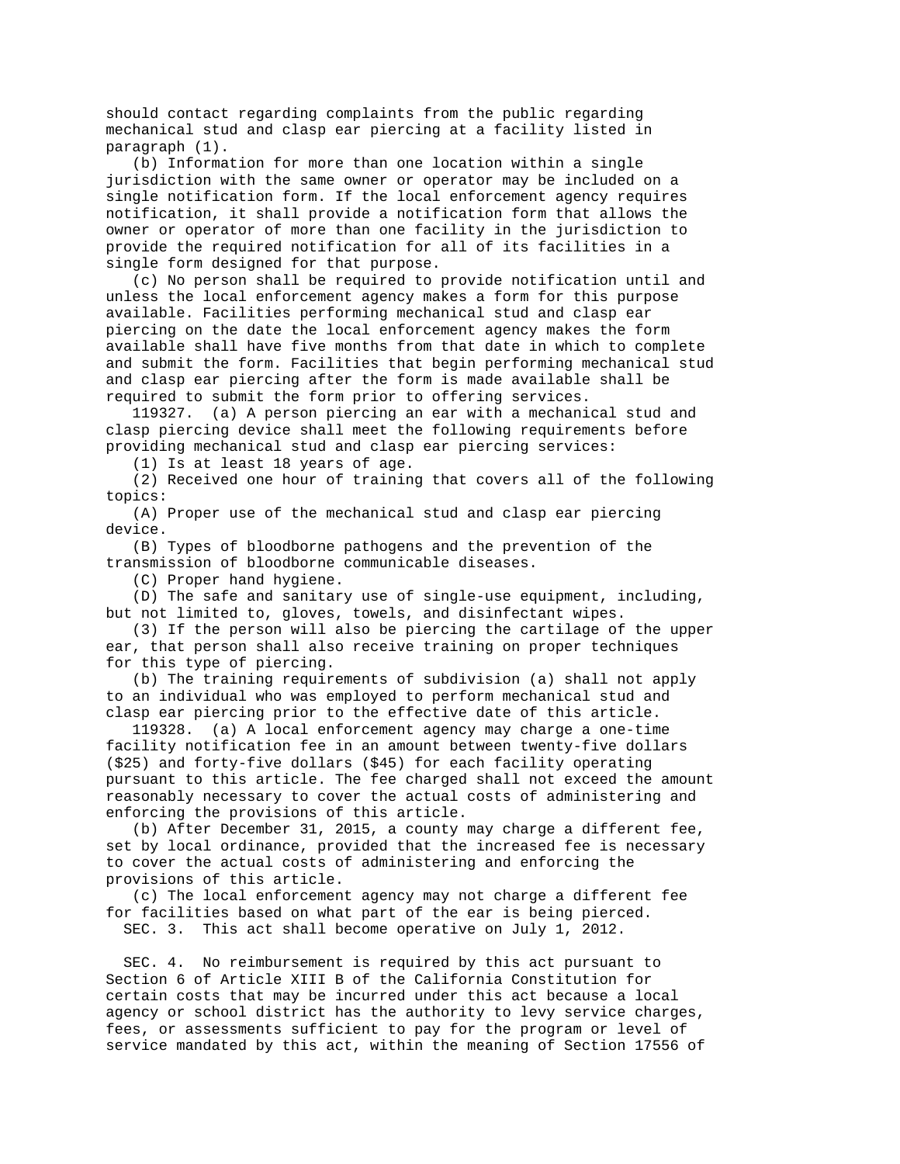should contact regarding complaints from the public regarding mechanical stud and clasp ear piercing at a facility listed in paragraph (1).

 (b) Information for more than one location within a single jurisdiction with the same owner or operator may be included on a single notification form. If the local enforcement agency requires notification, it shall provide a notification form that allows the owner or operator of more than one facility in the jurisdiction to provide the required notification for all of its facilities in a single form designed for that purpose.

 (c) No person shall be required to provide notification until and unless the local enforcement agency makes a form for this purpose available. Facilities performing mechanical stud and clasp ear piercing on the date the local enforcement agency makes the form available shall have five months from that date in which to complete and submit the form. Facilities that begin performing mechanical stud and clasp ear piercing after the form is made available shall be required to submit the form prior to offering services.

 119327. (a) A person piercing an ear with a mechanical stud and clasp piercing device shall meet the following requirements before providing mechanical stud and clasp ear piercing services:

(1) Is at least 18 years of age.

 (2) Received one hour of training that covers all of the following topics:

 (A) Proper use of the mechanical stud and clasp ear piercing device.

 (B) Types of bloodborne pathogens and the prevention of the transmission of bloodborne communicable diseases.

(C) Proper hand hygiene.

 (D) The safe and sanitary use of single-use equipment, including, but not limited to, gloves, towels, and disinfectant wipes.

 (3) If the person will also be piercing the cartilage of the upper ear, that person shall also receive training on proper techniques for this type of piercing.

 (b) The training requirements of subdivision (a) shall not apply to an individual who was employed to perform mechanical stud and clasp ear piercing prior to the effective date of this article.

 119328. (a) A local enforcement agency may charge a one-time facility notification fee in an amount between twenty-five dollars (\$25) and forty-five dollars (\$45) for each facility operating pursuant to this article. The fee charged shall not exceed the amount reasonably necessary to cover the actual costs of administering and enforcing the provisions of this article.

 (b) After December 31, 2015, a county may charge a different fee, set by local ordinance, provided that the increased fee is necessary to cover the actual costs of administering and enforcing the provisions of this article.

 (c) The local enforcement agency may not charge a different fee for facilities based on what part of the ear is being pierced. SEC. 3. This act shall become operative on July 1, 2012.

 SEC. 4. No reimbursement is required by this act pursuant to Section 6 of Article XIII B of the California Constitution for certain costs that may be incurred under this act because a local agency or school district has the authority to levy service charges, fees, or assessments sufficient to pay for the program or level of service mandated by this act, within the meaning of Section 17556 of